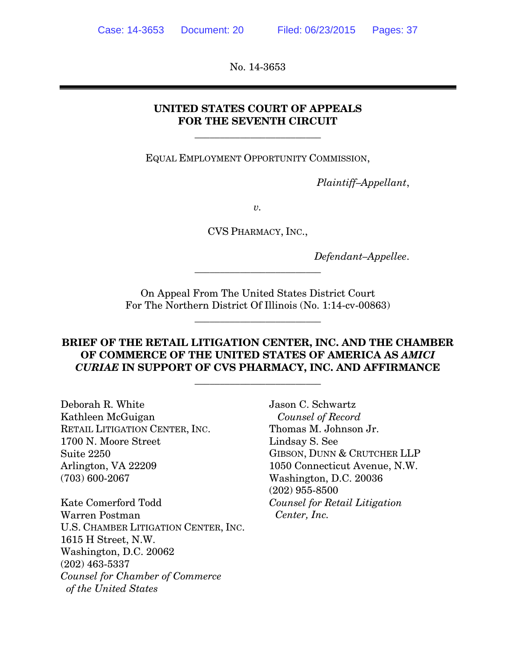No. 14-3653

### **UNITED STATES COURT OF APPEALS FOR THE SEVENTH CIRCUIT**

\_\_\_\_\_\_\_\_\_\_\_\_\_\_\_\_\_\_\_\_\_\_\_\_\_

EQUAL EMPLOYMENT OPPORTUNITY COMMISSION,

 *Plaintiff–Appellant*,

*v.* 

CVS PHARMACY, INC.,

 *Defendant–Appellee*.

On Appeal From The United States District Court For The Northern District Of Illinois (No. 1:14-cv-00863)

\_\_\_\_\_\_\_\_\_\_\_\_\_\_\_\_\_\_\_\_\_\_\_\_\_

\_\_\_\_\_\_\_\_\_\_\_\_\_\_\_\_\_\_\_\_\_\_\_\_\_

### **BRIEF OF THE RETAIL LITIGATION CENTER, INC. AND THE CHAMBER OF COMMERCE OF THE UNITED STATES OF AMERICA AS** *AMICI CURIAE* **IN SUPPORT OF CVS PHARMACY, INC. AND AFFIRMANCE**

\_\_\_\_\_\_\_\_\_\_\_\_\_\_\_\_\_\_\_\_\_\_\_\_\_

Deborah R. White Kathleen McGuigan RETAIL LITIGATION CENTER, INC. 1700 N. Moore Street Suite 2250 Arlington, VA 22209 (703) 600-2067

Kate Comerford Todd Warren Postman U.S. CHAMBER LITIGATION CENTER, INC. 1615 H Street, N.W. Washington, D.C. 20062 (202) 463-5337 *Counsel for Chamber of Commerce of the United States* 

Jason C. Schwartz *Counsel of Record*  Thomas M. Johnson Jr. Lindsay S. See GIBSON, DUNN & CRUTCHER LLP 1050 Connecticut Avenue, N.W. Washington, D.C. 20036 (202) 955-8500 *Counsel for Retail Litigation Center, Inc.*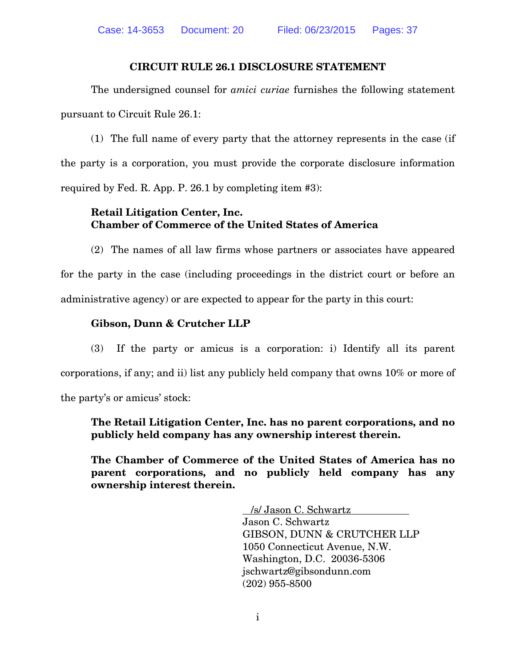#### **CIRCUIT RULE 26.1 DISCLOSURE STATEMENT**

The undersigned counsel for *amici curiae* furnishes the following statement pursuant to Circuit Rule 26.1:

(1) The full name of every party that the attorney represents in the case (if the party is a corporation, you must provide the corporate disclosure information required by Fed. R. App. P. 26.1 by completing item #3):

### **Retail Litigation Center, Inc. Chamber of Commerce of the United States of America**

(2) The names of all law firms whose partners or associates have appeared for the party in the case (including proceedings in the district court or before an administrative agency) or are expected to appear for the party in this court:

#### **Gibson, Dunn & Crutcher LLP**

(3) If the party or amicus is a corporation: i) Identify all its parent corporations, if any; and ii) list any publicly held company that owns 10% or more of the party's or amicus' stock:

**The Retail Litigation Center, Inc. has no parent corporations, and no publicly held company has any ownership interest therein.** 

**The Chamber of Commerce of the United States of America has no parent corporations, and no publicly held company has any ownership interest therein.** 

> /s/ Jason C. Schwartz Jason C. Schwartz GIBSON, DUNN & CRUTCHER LLP 1050 Connecticut Avenue, N.W. Washington, D.C. 20036-5306 jschwartz@gibsondunn.com (202) 955-8500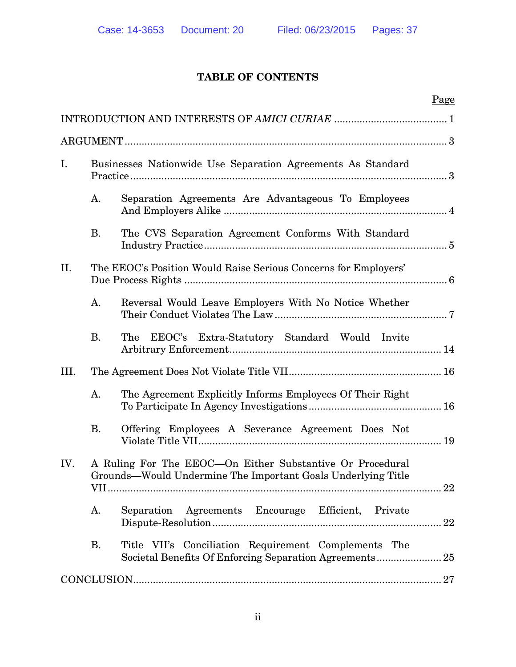## **TABLE OF CONTENTS**

|      |           |                                                                                                                           | Page |
|------|-----------|---------------------------------------------------------------------------------------------------------------------------|------|
|      |           |                                                                                                                           |      |
|      |           |                                                                                                                           |      |
| I.   |           | Businesses Nationwide Use Separation Agreements As Standard                                                               |      |
|      | A.        | Separation Agreements Are Advantageous To Employees                                                                       |      |
|      | <b>B.</b> | The CVS Separation Agreement Conforms With Standard                                                                       |      |
| II.  |           | The EEOC's Position Would Raise Serious Concerns for Employers'                                                           |      |
|      | A.        | Reversal Would Leave Employers With No Notice Whether                                                                     |      |
|      | <b>B.</b> | EEOC's Extra-Statutory Standard Would Invite<br>The                                                                       |      |
| III. |           |                                                                                                                           |      |
|      | A.        | The Agreement Explicitly Informs Employees Of Their Right                                                                 |      |
|      | <b>B.</b> | Offering Employees A Severance Agreement Does Not                                                                         |      |
| IV.  |           | A Ruling For The EEOC—On Either Substantive Or Procedural<br>Grounds-Would Undermine The Important Goals Underlying Title |      |
|      | A.        | Separation Agreements Encourage Efficient, Private                                                                        |      |
|      | <b>B.</b> | Title VII's Conciliation Requirement Complements The                                                                      |      |
|      |           |                                                                                                                           |      |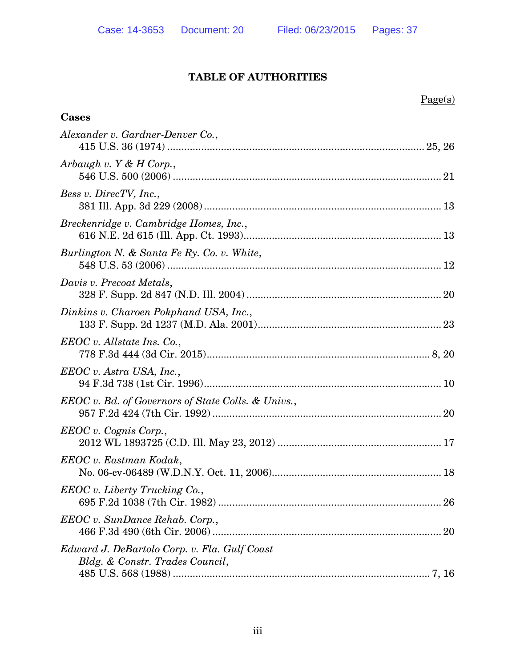# Page(s)

| Cases                                                                           |  |
|---------------------------------------------------------------------------------|--|
| Alexander v. Gardner-Denver Co.,                                                |  |
| Arbaugh v. $Y & H$ Corp.,                                                       |  |
| Bess v. DirecTV, Inc.,                                                          |  |
| Breckenridge v. Cambridge Homes, Inc.,                                          |  |
| Burlington N. & Santa Fe Ry. Co. v. White,                                      |  |
| Davis v. Precoat Metals,                                                        |  |
| Dinkins v. Charoen Pokphand USA, Inc.,                                          |  |
| EEOC v. All state Ins. Co.,                                                     |  |
| EEOC v. Astra USA, Inc.,                                                        |  |
| <b>EEOC</b> v. Bd. of Governors of State Colls. & Univs.,                       |  |
| EEOC v. Cognis Corp.,                                                           |  |
| EEOC v. Eastman Kodak,                                                          |  |
| EEOC v. Liberty Trucking Co.,                                                   |  |
| EEOC v. SunDance Rehab. Corp.,                                                  |  |
| Edward J. DeBartolo Corp. v. Fla. Gulf Coast<br>Bldg. & Constr. Trades Council, |  |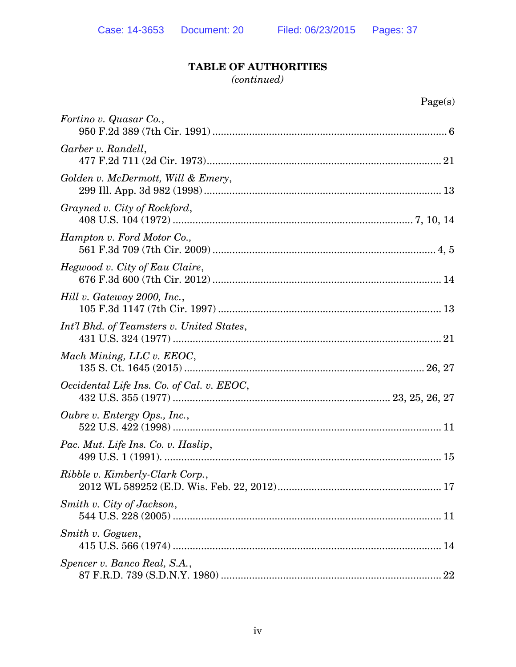#### *(continued)*

| ۰. |
|----|
|    |

| Fortino v. Quasar Co.,                    |  |
|-------------------------------------------|--|
| Garber v. Randell,                        |  |
| Golden v. McDermott, Will & Emery,        |  |
| Grayned v. City of Rockford,              |  |
| Hampton v. Ford Motor Co.,                |  |
| Hegwood v. City of Eau Claire,            |  |
| Hill v. Gateway 2000, Inc.,               |  |
| Int'l Bhd. of Teamsters v. United States, |  |
| Mach Mining, LLC v. EEOC,                 |  |
| Occidental Life Ins. Co. of Cal. v. EEOC, |  |
| Oubre v. Entergy Ops., Inc.,              |  |
| Pac. Mut. Life Ins. Co. v. Haslip,        |  |
| Ribble v. Kimberly-Clark Corp.,           |  |
| Smith v. City of Jackson,                 |  |
| Smith v. Goguen,                          |  |
| Spencer v. Banco Real, S.A.,              |  |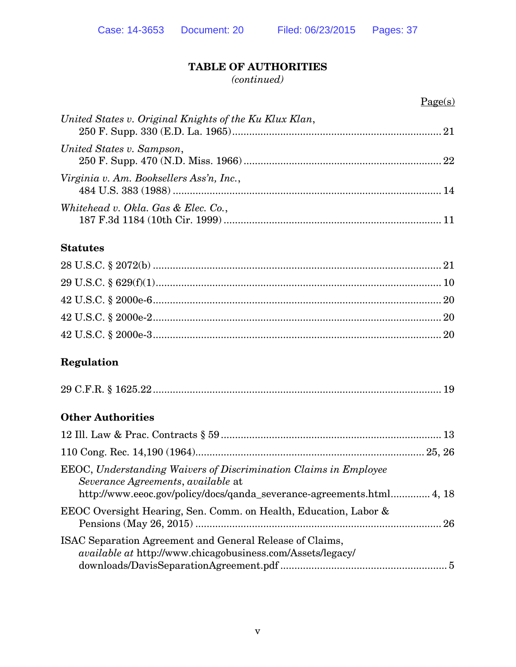*(continued)*

| United States v. Original Knights of the Ku Klux Klan, |  |
|--------------------------------------------------------|--|
| United States v. Sampson,                              |  |
| Virginia v. Am. Booksellers Ass'n, Inc.,               |  |
| Whitehead v. Okla. Gas & Elec. Co.,                    |  |

### **Statutes**

## **Regulation**

|--|--|

## **Other Authorities**

| EEOC, Understanding Waivers of Discrimination Claims in Employee<br>Severance Agreements, available at<br>http://www.eeoc.gov/policy/docs/qanda_severance-agreements.html4, 18 |  |
|--------------------------------------------------------------------------------------------------------------------------------------------------------------------------------|--|
| EEOC Oversight Hearing, Sen. Comm. on Health, Education, Labor &                                                                                                               |  |
| ISAC Separation Agreement and General Release of Claims,<br><i>available at http://www.chicagobusiness.com/Assets/legacy/</i>                                                  |  |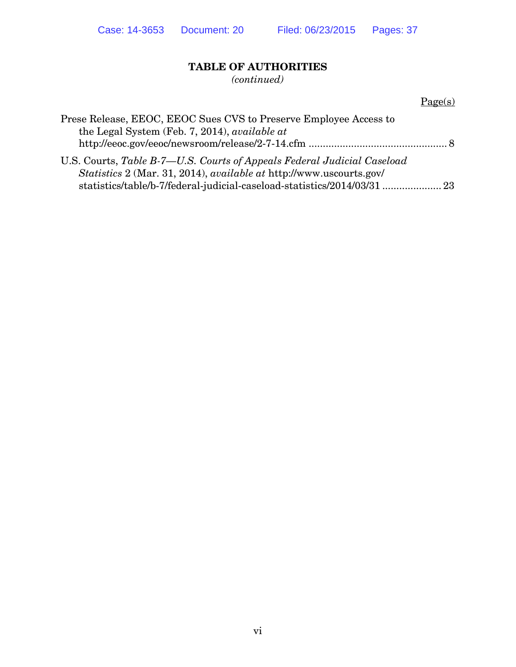*(continued)*

|                                                                                                                                                                                                                                          | Page(s) |
|------------------------------------------------------------------------------------------------------------------------------------------------------------------------------------------------------------------------------------------|---------|
| Prese Release, EEOC, EEOC Sues CVS to Preserve Employee Access to<br>the Legal System (Feb. 7, 2014), available at                                                                                                                       |         |
| U.S. Courts, Table B-7—U.S. Courts of Appeals Federal Judicial Caseload<br><i>Statistics</i> 2 (Mar. 31, 2014), <i>available at http://www.uscourts.gov/</i><br>statistics/table/b-7/federal-judicial-caseload-statistics/2014/03/31  23 |         |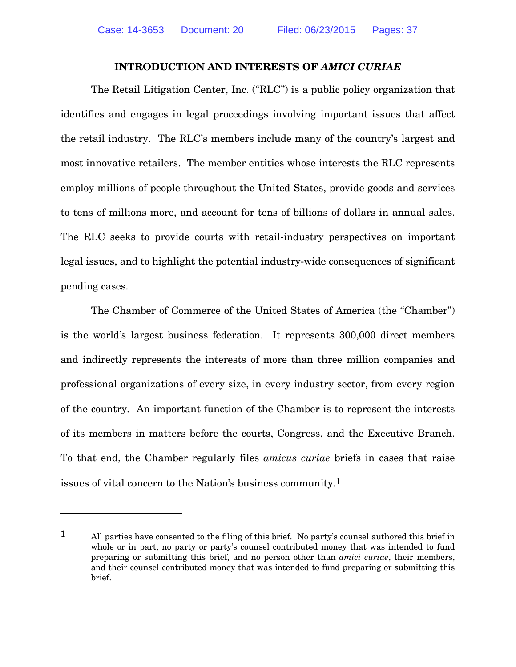#### **INTRODUCTION AND INTERESTS OF** *AMICI CURIAE*

The Retail Litigation Center, Inc. ("RLC") is a public policy organization that identifies and engages in legal proceedings involving important issues that affect the retail industry. The RLC's members include many of the country's largest and most innovative retailers. The member entities whose interests the RLC represents employ millions of people throughout the United States, provide goods and services to tens of millions more, and account for tens of billions of dollars in annual sales. The RLC seeks to provide courts with retail-industry perspectives on important legal issues, and to highlight the potential industry-wide consequences of significant pending cases.

The Chamber of Commerce of the United States of America (the "Chamber") is the world's largest business federation. It represents 300,000 direct members and indirectly represents the interests of more than three million companies and professional organizations of every size, in every industry sector, from every region of the country. An important function of the Chamber is to represent the interests of its members in matters before the courts, Congress, and the Executive Branch. To that end, the Chamber regularly files *amicus curiae* briefs in cases that raise issues of vital concern to the Nation's business community.1

 $\overline{a}$ 

<sup>1</sup> All parties have consented to the filing of this brief. No party's counsel authored this brief in whole or in part, no party or party's counsel contributed money that was intended to fund preparing or submitting this brief, and no person other than *amici curiae*, their members, and their counsel contributed money that was intended to fund preparing or submitting this brief.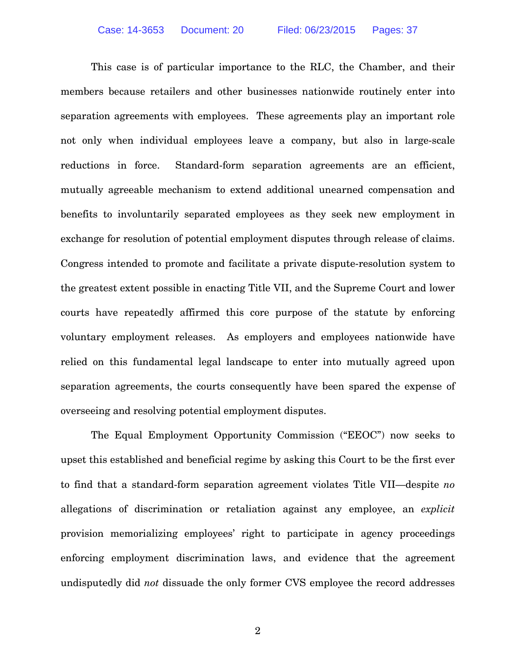This case is of particular importance to the RLC, the Chamber, and their members because retailers and other businesses nationwide routinely enter into separation agreements with employees. These agreements play an important role not only when individual employees leave a company, but also in large-scale reductions in force. Standard-form separation agreements are an efficient, mutually agreeable mechanism to extend additional unearned compensation and benefits to involuntarily separated employees as they seek new employment in exchange for resolution of potential employment disputes through release of claims. Congress intended to promote and facilitate a private dispute-resolution system to the greatest extent possible in enacting Title VII, and the Supreme Court and lower courts have repeatedly affirmed this core purpose of the statute by enforcing voluntary employment releases. As employers and employees nationwide have relied on this fundamental legal landscape to enter into mutually agreed upon separation agreements, the courts consequently have been spared the expense of overseeing and resolving potential employment disputes.

The Equal Employment Opportunity Commission ("EEOC") now seeks to upset this established and beneficial regime by asking this Court to be the first ever to find that a standard-form separation agreement violates Title VII—despite *no* allegations of discrimination or retaliation against any employee, an *explicit* provision memorializing employees' right to participate in agency proceedings enforcing employment discrimination laws, and evidence that the agreement undisputedly did *not* dissuade the only former CVS employee the record addresses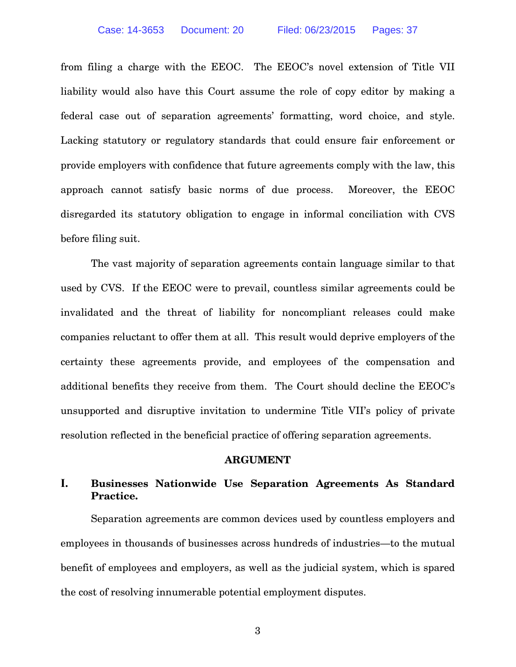from filing a charge with the EEOC. The EEOC's novel extension of Title VII liability would also have this Court assume the role of copy editor by making a federal case out of separation agreements' formatting, word choice, and style. Lacking statutory or regulatory standards that could ensure fair enforcement or provide employers with confidence that future agreements comply with the law, this approach cannot satisfy basic norms of due process. Moreover, the EEOC disregarded its statutory obligation to engage in informal conciliation with CVS before filing suit.

The vast majority of separation agreements contain language similar to that used by CVS. If the EEOC were to prevail, countless similar agreements could be invalidated and the threat of liability for noncompliant releases could make companies reluctant to offer them at all. This result would deprive employers of the certainty these agreements provide, and employees of the compensation and additional benefits they receive from them. The Court should decline the EEOC's unsupported and disruptive invitation to undermine Title VII's policy of private resolution reflected in the beneficial practice of offering separation agreements.

#### **ARGUMENT**

### **I. Businesses Nationwide Use Separation Agreements As Standard Practice.**

Separation agreements are common devices used by countless employers and employees in thousands of businesses across hundreds of industries—to the mutual benefit of employees and employers, as well as the judicial system, which is spared the cost of resolving innumerable potential employment disputes.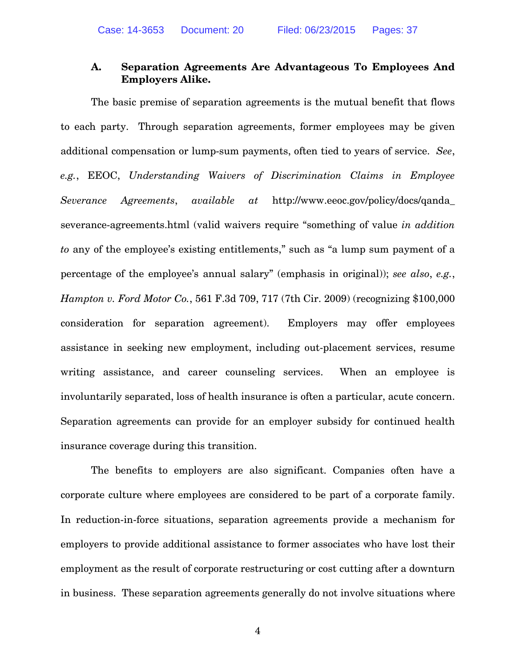### **A. Separation Agreements Are Advantageous To Employees And Employers Alike.**

The basic premise of separation agreements is the mutual benefit that flows to each party. Through separation agreements, former employees may be given additional compensation or lump-sum payments, often tied to years of service. *See*, *e.g.*, EEOC, *Understanding Waivers of Discrimination Claims in Employee Severance Agreements*, *available at* http://www.eeoc.gov/policy/docs/qanda\_ severance-agreements.html (valid waivers require "something of value *in addition to* any of the employee's existing entitlements," such as "a lump sum payment of a percentage of the employee's annual salary" (emphasis in original)); *see also*, *e.g.*, *Hampton v. Ford Motor Co.*, 561 F.3d 709, 717 (7th Cir. 2009) (recognizing \$100,000 consideration for separation agreement). Employers may offer employees assistance in seeking new employment, including out-placement services, resume writing assistance, and career counseling services. When an employee is involuntarily separated, loss of health insurance is often a particular, acute concern. Separation agreements can provide for an employer subsidy for continued health insurance coverage during this transition.

The benefits to employers are also significant. Companies often have a corporate culture where employees are considered to be part of a corporate family. In reduction-in-force situations, separation agreements provide a mechanism for employers to provide additional assistance to former associates who have lost their employment as the result of corporate restructuring or cost cutting after a downturn in business. These separation agreements generally do not involve situations where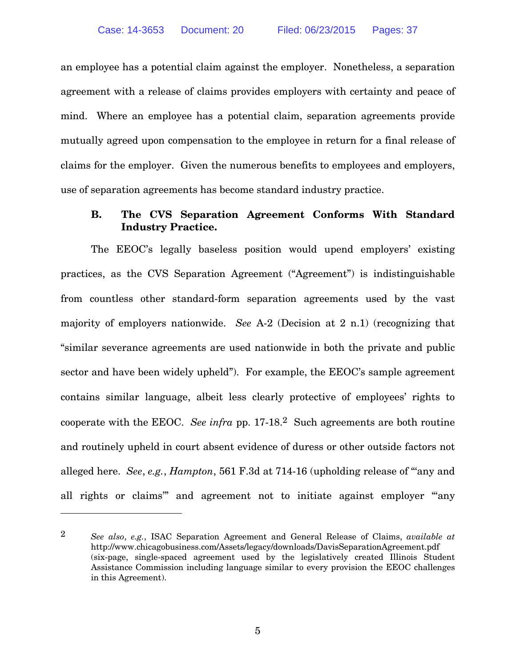an employee has a potential claim against the employer. Nonetheless, a separation agreement with a release of claims provides employers with certainty and peace of mind. Where an employee has a potential claim, separation agreements provide mutually agreed upon compensation to the employee in return for a final release of claims for the employer. Given the numerous benefits to employees and employers, use of separation agreements has become standard industry practice.

### **B. The CVS Separation Agreement Conforms With Standard Industry Practice.**

The EEOC's legally baseless position would upend employers' existing practices, as the CVS Separation Agreement ("Agreement") is indistinguishable from countless other standard-form separation agreements used by the vast majority of employers nationwide. *See* A-2 (Decision at 2 n.1) (recognizing that "similar severance agreements are used nationwide in both the private and public sector and have been widely upheld"). For example, the EEOC's sample agreement contains similar language, albeit less clearly protective of employees' rights to cooperate with the EEOC. *See infra* pp. 17-18.2 Such agreements are both routine and routinely upheld in court absent evidence of duress or other outside factors not alleged here. *See*, *e.g.*, *Hampton*, 561 F.3d at 714-16 (upholding release of "'any and all rights or claims'" and agreement not to initiate against employer "'any

 $\overline{a}$ 

<sup>2</sup> *See also*, *e.g.*, ISAC Separation Agreement and General Release of Claims, *available at*  http://www.chicagobusiness.com/Assets/legacy/downloads/DavisSeparationAgreement.pdf (six-page, single-spaced agreement used by the legislatively created Illinois Student Assistance Commission including language similar to every provision the EEOC challenges in this Agreement).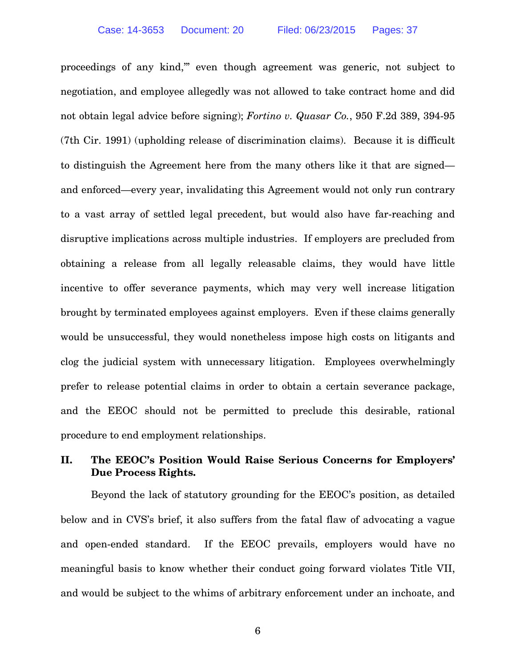proceedings of any kind,'" even though agreement was generic, not subject to negotiation, and employee allegedly was not allowed to take contract home and did not obtain legal advice before signing); *Fortino v. Quasar Co.*, 950 F.2d 389, 394-95 (7th Cir. 1991) (upholding release of discrimination claims). Because it is difficult to distinguish the Agreement here from the many others like it that are signed and enforced—every year, invalidating this Agreement would not only run contrary to a vast array of settled legal precedent, but would also have far-reaching and disruptive implications across multiple industries. If employers are precluded from obtaining a release from all legally releasable claims, they would have little incentive to offer severance payments, which may very well increase litigation brought by terminated employees against employers. Even if these claims generally would be unsuccessful, they would nonetheless impose high costs on litigants and clog the judicial system with unnecessary litigation. Employees overwhelmingly prefer to release potential claims in order to obtain a certain severance package, and the EEOC should not be permitted to preclude this desirable, rational procedure to end employment relationships.

### **II. The EEOC's Position Would Raise Serious Concerns for Employers' Due Process Rights.**

Beyond the lack of statutory grounding for the EEOC's position, as detailed below and in CVS's brief, it also suffers from the fatal flaw of advocating a vague and open-ended standard. If the EEOC prevails, employers would have no meaningful basis to know whether their conduct going forward violates Title VII, and would be subject to the whims of arbitrary enforcement under an inchoate, and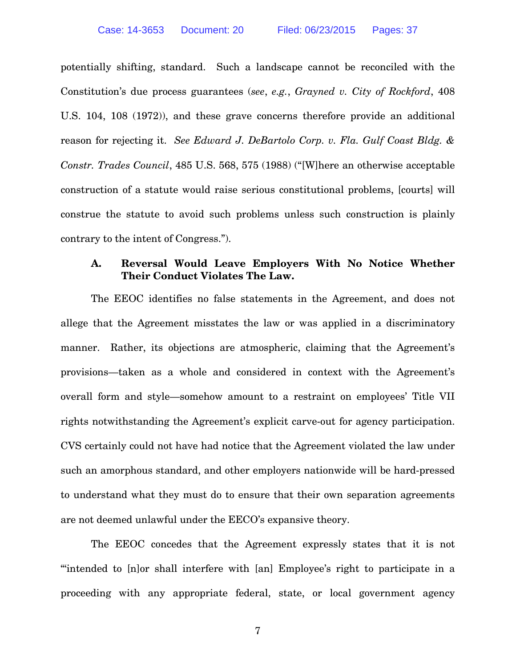potentially shifting, standard. Such a landscape cannot be reconciled with the Constitution's due process guarantees (*see*, *e.g.*, *Grayned v. City of Rockford*, 408 U.S. 104, 108 (1972)), and these grave concerns therefore provide an additional reason for rejecting it. *See Edward J. DeBartolo Corp. v. Fla. Gulf Coast Bldg. & Constr. Trades Council*, 485 U.S. 568, 575 (1988) ("[W]here an otherwise acceptable construction of a statute would raise serious constitutional problems, [courts] will construe the statute to avoid such problems unless such construction is plainly contrary to the intent of Congress.").

### **A. Reversal Would Leave Employers With No Notice Whether Their Conduct Violates The Law.**

The EEOC identifies no false statements in the Agreement, and does not allege that the Agreement misstates the law or was applied in a discriminatory manner. Rather, its objections are atmospheric, claiming that the Agreement's provisions—taken as a whole and considered in context with the Agreement's overall form and style—somehow amount to a restraint on employees' Title VII rights notwithstanding the Agreement's explicit carve-out for agency participation. CVS certainly could not have had notice that the Agreement violated the law under such an amorphous standard, and other employers nationwide will be hard-pressed to understand what they must do to ensure that their own separation agreements are not deemed unlawful under the EECO's expansive theory.

The EEOC concedes that the Agreement expressly states that it is not "'intended to [n]or shall interfere with [an] Employee's right to participate in a proceeding with any appropriate federal, state, or local government agency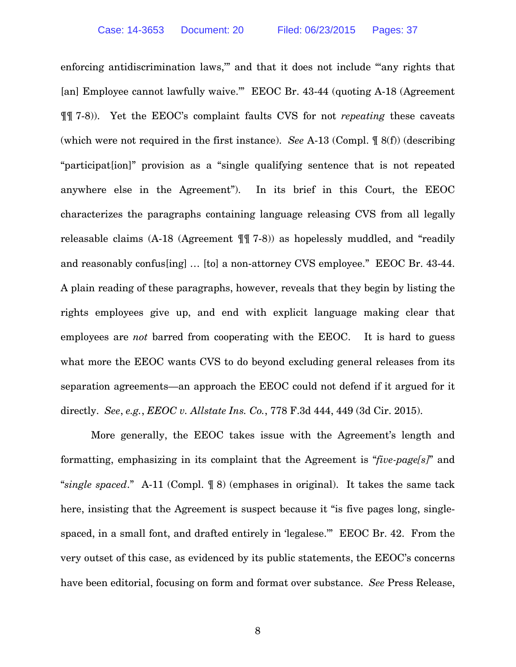enforcing antidiscrimination laws," and that it does not include "any rights that [an] Employee cannot lawfully waive.'" EEOC Br. 43-44 (quoting A-18 (Agreement ¶¶ 7-8)). Yet the EEOC's complaint faults CVS for not *repeating* these caveats (which were not required in the first instance). *See* A-13 (Compl. ¶ 8(f)) (describing "participat[ion]" provision as a "single qualifying sentence that is not repeated anywhere else in the Agreement"). In its brief in this Court, the EEOC characterizes the paragraphs containing language releasing CVS from all legally releasable claims (A-18 (Agreement ¶¶ 7-8)) as hopelessly muddled, and "readily and reasonably confus[ing] … [to] a non-attorney CVS employee." EEOC Br. 43-44. A plain reading of these paragraphs, however, reveals that they begin by listing the rights employees give up, and end with explicit language making clear that employees are *not* barred from cooperating with the EEOC. It is hard to guess what more the EEOC wants CVS to do beyond excluding general releases from its separation agreements—an approach the EEOC could not defend if it argued for it directly. *See*, *e.g.*, *EEOC v. Allstate Ins. Co.*, 778 F.3d 444, 449 (3d Cir. 2015).

More generally, the EEOC takes issue with the Agreement's length and formatting, emphasizing in its complaint that the Agreement is "*five-page[s]*" and "*single spaced*." A-11 (Compl. ¶ 8) (emphases in original). It takes the same tack here, insisting that the Agreement is suspect because it "is five pages long, singlespaced, in a small font, and drafted entirely in 'legalese.'" EEOC Br. 42. From the very outset of this case, as evidenced by its public statements, the EEOC's concerns have been editorial, focusing on form and format over substance. *See* Press Release,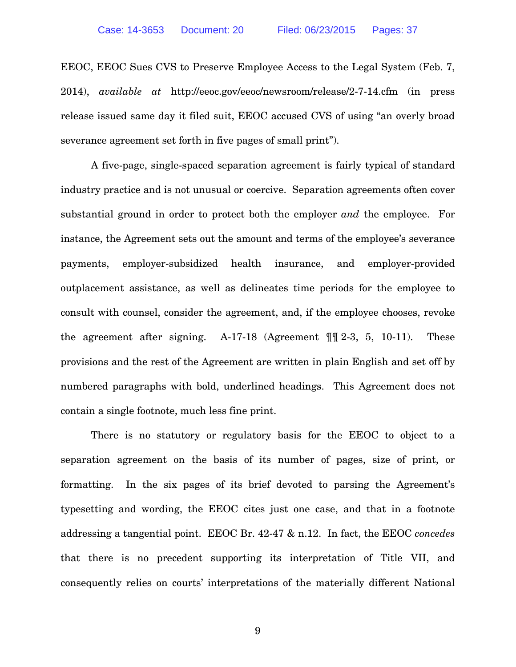EEOC, EEOC Sues CVS to Preserve Employee Access to the Legal System (Feb. 7, 2014), *available at* http://eeoc.gov/eeoc/newsroom/release/2-7-14.cfm (in press release issued same day it filed suit, EEOC accused CVS of using "an overly broad severance agreement set forth in five pages of small print").

A five-page, single-spaced separation agreement is fairly typical of standard industry practice and is not unusual or coercive. Separation agreements often cover substantial ground in order to protect both the employer *and* the employee. For instance, the Agreement sets out the amount and terms of the employee's severance payments, employer-subsidized health insurance, and employer-provided outplacement assistance, as well as delineates time periods for the employee to consult with counsel, consider the agreement, and, if the employee chooses, revoke the agreement after signing. A-17-18 (Agreement  $\P$  $[$  $]$   $[$ 2-3, 5, 10-11). These provisions and the rest of the Agreement are written in plain English and set off by numbered paragraphs with bold, underlined headings. This Agreement does not contain a single footnote, much less fine print.

There is no statutory or regulatory basis for the EEOC to object to a separation agreement on the basis of its number of pages, size of print, or formatting. In the six pages of its brief devoted to parsing the Agreement's typesetting and wording, the EEOC cites just one case, and that in a footnote addressing a tangential point. EEOC Br. 42-47 & n.12. In fact, the EEOC *concedes* that there is no precedent supporting its interpretation of Title VII, and consequently relies on courts' interpretations of the materially different National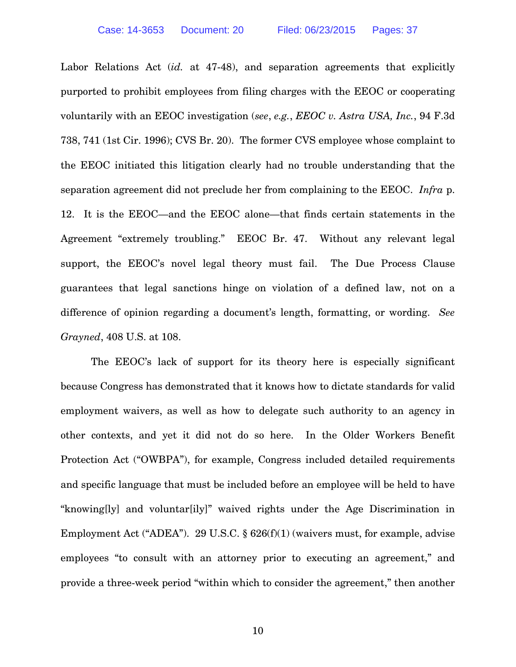Labor Relations Act (*id.* at 47-48), and separation agreements that explicitly purported to prohibit employees from filing charges with the EEOC or cooperating voluntarily with an EEOC investigation (*see*, *e.g.*, *EEOC v. Astra USA, Inc.*, 94 F.3d 738, 741 (1st Cir. 1996); CVS Br. 20). The former CVS employee whose complaint to the EEOC initiated this litigation clearly had no trouble understanding that the separation agreement did not preclude her from complaining to the EEOC. *Infra* p. 12. It is the EEOC—and the EEOC alone—that finds certain statements in the Agreement "extremely troubling." EEOC Br. 47. Without any relevant legal support, the EEOC's novel legal theory must fail. The Due Process Clause guarantees that legal sanctions hinge on violation of a defined law, not on a difference of opinion regarding a document's length, formatting, or wording. *See Grayned*, 408 U.S. at 108.

The EEOC's lack of support for its theory here is especially significant because Congress has demonstrated that it knows how to dictate standards for valid employment waivers, as well as how to delegate such authority to an agency in other contexts, and yet it did not do so here. In the Older Workers Benefit Protection Act ("OWBPA"), for example, Congress included detailed requirements and specific language that must be included before an employee will be held to have "knowing[ly] and voluntar[ily]" waived rights under the Age Discrimination in Employment Act ("ADEA"). 29 U.S.C. § 626(f)(1) (waivers must, for example, advise employees "to consult with an attorney prior to executing an agreement," and provide a three-week period "within which to consider the agreement," then another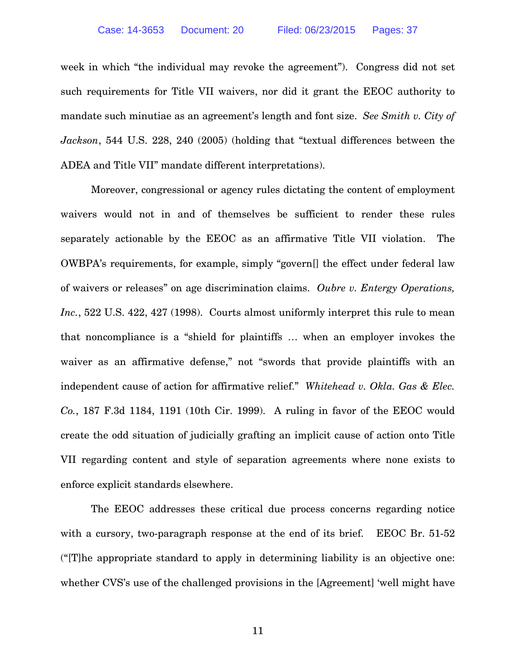week in which "the individual may revoke the agreement"). Congress did not set such requirements for Title VII waivers, nor did it grant the EEOC authority to mandate such minutiae as an agreement's length and font size. *See Smith v. City of Jackson*, 544 U.S. 228, 240 (2005) (holding that "textual differences between the ADEA and Title VII" mandate different interpretations).

Moreover, congressional or agency rules dictating the content of employment waivers would not in and of themselves be sufficient to render these rules separately actionable by the EEOC as an affirmative Title VII violation. The OWBPA's requirements, for example, simply "govern[] the effect under federal law of waivers or releases" on age discrimination claims. *Oubre v. Entergy Operations, Inc.*, 522 U.S. 422, 427 (1998). Courts almost uniformly interpret this rule to mean that noncompliance is a "shield for plaintiffs … when an employer invokes the waiver as an affirmative defense," not "swords that provide plaintiffs with an independent cause of action for affirmative relief." *Whitehead v. Okla. Gas & Elec. Co.*, 187 F.3d 1184, 1191 (10th Cir. 1999). A ruling in favor of the EEOC would create the odd situation of judicially grafting an implicit cause of action onto Title VII regarding content and style of separation agreements where none exists to enforce explicit standards elsewhere.

The EEOC addresses these critical due process concerns regarding notice with a cursory, two-paragraph response at the end of its brief. EEOC Br. 51-52 ("[T]he appropriate standard to apply in determining liability is an objective one: whether CVS's use of the challenged provisions in the [Agreement] 'well might have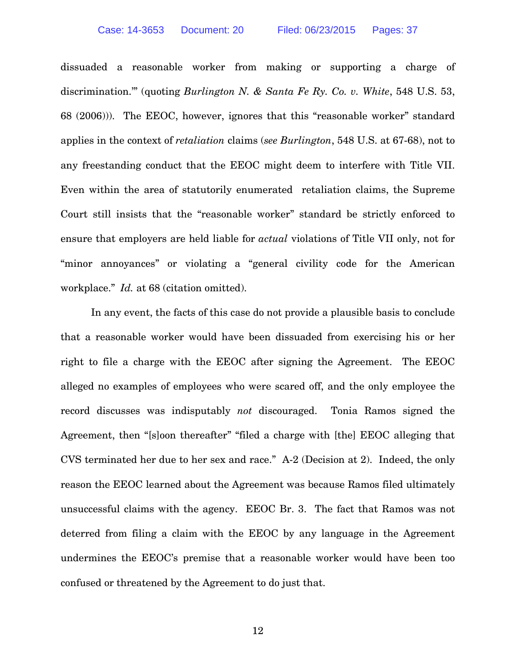dissuaded a reasonable worker from making or supporting a charge of discrimination.'" (quoting *Burlington N. & Santa Fe Ry. Co. v. White*, 548 U.S. 53, 68 (2006))). The EEOC, however, ignores that this "reasonable worker" standard applies in the context of *retaliation* claims (*see Burlington*, 548 U.S. at 67-68), not to any freestanding conduct that the EEOC might deem to interfere with Title VII. Even within the area of statutorily enumerated retaliation claims, the Supreme Court still insists that the "reasonable worker" standard be strictly enforced to ensure that employers are held liable for *actual* violations of Title VII only, not for "minor annoyances" or violating a "general civility code for the American workplace." *Id.* at 68 (citation omitted).

In any event, the facts of this case do not provide a plausible basis to conclude that a reasonable worker would have been dissuaded from exercising his or her right to file a charge with the EEOC after signing the Agreement. The EEOC alleged no examples of employees who were scared off, and the only employee the record discusses was indisputably *not* discouraged. Tonia Ramos signed the Agreement, then "[s]oon thereafter" "filed a charge with [the] EEOC alleging that CVS terminated her due to her sex and race." A-2 (Decision at 2). Indeed, the only reason the EEOC learned about the Agreement was because Ramos filed ultimately unsuccessful claims with the agency. EEOC Br. 3. The fact that Ramos was not deterred from filing a claim with the EEOC by any language in the Agreement undermines the EEOC's premise that a reasonable worker would have been too confused or threatened by the Agreement to do just that.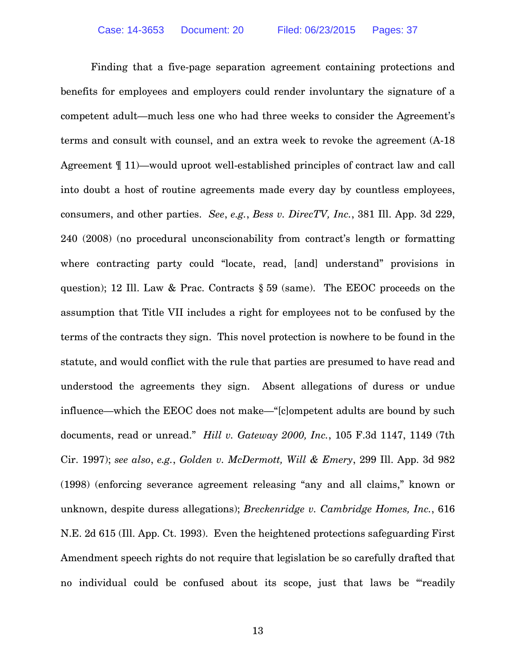Finding that a five-page separation agreement containing protections and benefits for employees and employers could render involuntary the signature of a competent adult—much less one who had three weeks to consider the Agreement's terms and consult with counsel, and an extra week to revoke the agreement (A-18 Agreement ¶ 11)—would uproot well-established principles of contract law and call into doubt a host of routine agreements made every day by countless employees, consumers, and other parties. *See*, *e.g.*, *Bess v. DirecTV, Inc.*, 381 Ill. App. 3d 229, 240 (2008) (no procedural unconscionability from contract's length or formatting where contracting party could "locate, read, [and] understand" provisions in question); 12 Ill. Law & Prac. Contracts § 59 (same). The EEOC proceeds on the assumption that Title VII includes a right for employees not to be confused by the terms of the contracts they sign. This novel protection is nowhere to be found in the statute, and would conflict with the rule that parties are presumed to have read and understood the agreements they sign. Absent allegations of duress or undue influence—which the EEOC does not make—"[c]ompetent adults are bound by such documents, read or unread." *Hill v. Gateway 2000, Inc.*, 105 F.3d 1147, 1149 (7th Cir. 1997); *see also*, *e.g.*, *Golden v. McDermott, Will & Emery*, 299 Ill. App. 3d 982 (1998) (enforcing severance agreement releasing "any and all claims," known or unknown, despite duress allegations); *Breckenridge v. Cambridge Homes, Inc.*, 616 N.E. 2d 615 (Ill. App. Ct. 1993). Even the heightened protections safeguarding First Amendment speech rights do not require that legislation be so carefully drafted that no individual could be confused about its scope, just that laws be "'readily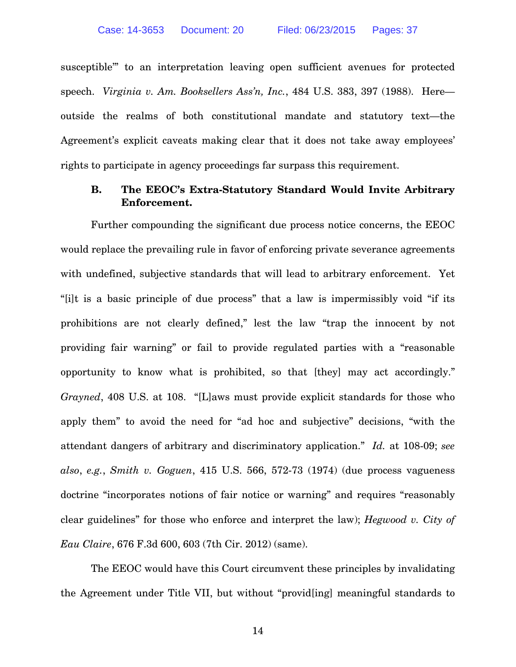susceptible'" to an interpretation leaving open sufficient avenues for protected speech. *Virginia v. Am. Booksellers Ass'n, Inc.*, 484 U.S. 383, 397 (1988). Here outside the realms of both constitutional mandate and statutory text—the Agreement's explicit caveats making clear that it does not take away employees' rights to participate in agency proceedings far surpass this requirement.

### **B. The EEOC's Extra-Statutory Standard Would Invite Arbitrary Enforcement.**

Further compounding the significant due process notice concerns, the EEOC would replace the prevailing rule in favor of enforcing private severance agreements with undefined, subjective standards that will lead to arbitrary enforcement. Yet "[i]t is a basic principle of due process" that a law is impermissibly void "if its prohibitions are not clearly defined," lest the law "trap the innocent by not providing fair warning" or fail to provide regulated parties with a "reasonable opportunity to know what is prohibited, so that [they] may act accordingly." *Grayned*, 408 U.S. at 108. "[L]aws must provide explicit standards for those who apply them" to avoid the need for "ad hoc and subjective" decisions, "with the attendant dangers of arbitrary and discriminatory application." *Id.* at 108-09; *see also*, *e.g.*, *Smith v. Goguen*, 415 U.S. 566, 572-73 (1974) (due process vagueness doctrine "incorporates notions of fair notice or warning" and requires "reasonably clear guidelines" for those who enforce and interpret the law); *Hegwood v. City of Eau Claire*, 676 F.3d 600, 603 (7th Cir. 2012) (same).

The EEOC would have this Court circumvent these principles by invalidating the Agreement under Title VII, but without "provid[ing] meaningful standards to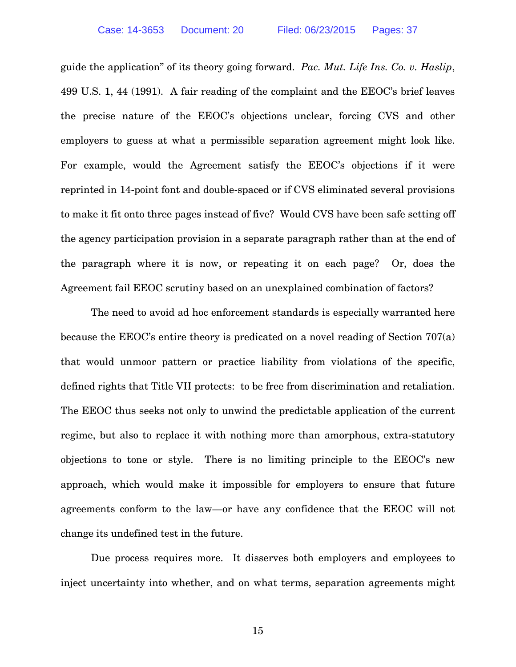guide the application" of its theory going forward. *Pac. Mut. Life Ins. Co. v. Haslip*, 499 U.S. 1, 44 (1991). A fair reading of the complaint and the EEOC's brief leaves the precise nature of the EEOC's objections unclear, forcing CVS and other employers to guess at what a permissible separation agreement might look like. For example, would the Agreement satisfy the EEOC's objections if it were reprinted in 14-point font and double-spaced or if CVS eliminated several provisions to make it fit onto three pages instead of five? Would CVS have been safe setting off the agency participation provision in a separate paragraph rather than at the end of the paragraph where it is now, or repeating it on each page? Or, does the Agreement fail EEOC scrutiny based on an unexplained combination of factors?

The need to avoid ad hoc enforcement standards is especially warranted here because the EEOC's entire theory is predicated on a novel reading of Section 707(a) that would unmoor pattern or practice liability from violations of the specific, defined rights that Title VII protects: to be free from discrimination and retaliation. The EEOC thus seeks not only to unwind the predictable application of the current regime, but also to replace it with nothing more than amorphous, extra-statutory objections to tone or style. There is no limiting principle to the EEOC's new approach, which would make it impossible for employers to ensure that future agreements conform to the law—or have any confidence that the EEOC will not change its undefined test in the future.

Due process requires more. It disserves both employers and employees to inject uncertainty into whether, and on what terms, separation agreements might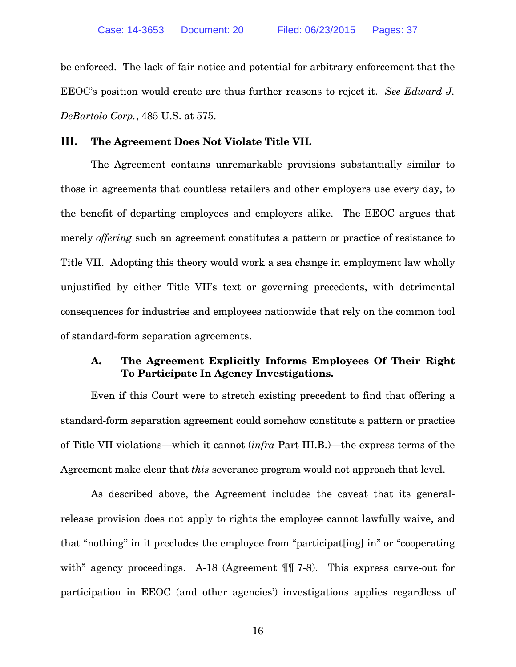be enforced. The lack of fair notice and potential for arbitrary enforcement that the EEOC's position would create are thus further reasons to reject it. *See Edward J. DeBartolo Corp.*, 485 U.S. at 575.

#### **III. The Agreement Does Not Violate Title VII.**

The Agreement contains unremarkable provisions substantially similar to those in agreements that countless retailers and other employers use every day, to the benefit of departing employees and employers alike. The EEOC argues that merely *offering* such an agreement constitutes a pattern or practice of resistance to Title VII. Adopting this theory would work a sea change in employment law wholly unjustified by either Title VII's text or governing precedents, with detrimental consequences for industries and employees nationwide that rely on the common tool of standard-form separation agreements.

### **A. The Agreement Explicitly Informs Employees Of Their Right To Participate In Agency Investigations.**

Even if this Court were to stretch existing precedent to find that offering a standard-form separation agreement could somehow constitute a pattern or practice of Title VII violations—which it cannot (*infra* Part III.B.)—the express terms of the Agreement make clear that *this* severance program would not approach that level.

As described above, the Agreement includes the caveat that its generalrelease provision does not apply to rights the employee cannot lawfully waive, and that "nothing" in it precludes the employee from "participat[ing] in" or "cooperating with" agency proceedings. A-18 (Agreement  $\P\P$  7-8). This express carve-out for participation in EEOC (and other agencies') investigations applies regardless of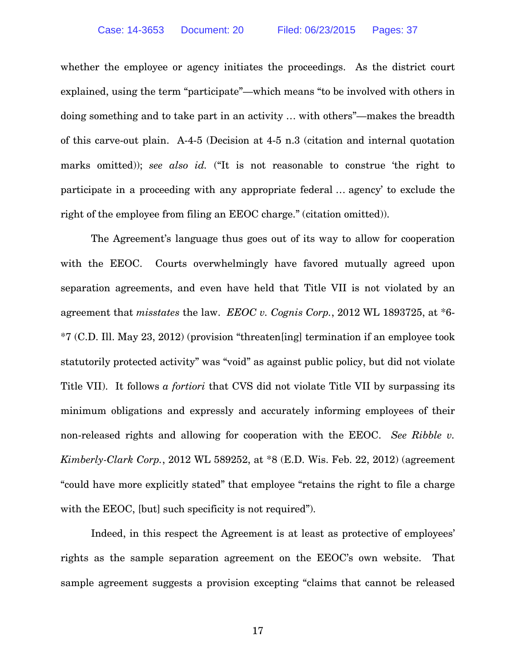whether the employee or agency initiates the proceedings. As the district court explained, using the term "participate"—which means "to be involved with others in doing something and to take part in an activity … with others"—makes the breadth of this carve-out plain. A-4-5 (Decision at 4-5 n.3 (citation and internal quotation marks omitted)); *see also id.* ("It is not reasonable to construe 'the right to participate in a proceeding with any appropriate federal … agency' to exclude the right of the employee from filing an EEOC charge." (citation omitted)).

The Agreement's language thus goes out of its way to allow for cooperation with the EEOC. Courts overwhelmingly have favored mutually agreed upon separation agreements, and even have held that Title VII is not violated by an agreement that *misstates* the law. *EEOC v. Cognis Corp.*, 2012 WL 1893725, at \*6- \*7 (C.D. Ill. May 23, 2012) (provision "threaten[ing] termination if an employee took statutorily protected activity" was "void" as against public policy, but did not violate Title VII). It follows *a fortiori* that CVS did not violate Title VII by surpassing its minimum obligations and expressly and accurately informing employees of their non-released rights and allowing for cooperation with the EEOC. *See Ribble v. Kimberly-Clark Corp.*, 2012 WL 589252, at \*8 (E.D. Wis. Feb. 22, 2012) (agreement "could have more explicitly stated" that employee "retains the right to file a charge with the EEOC, [but] such specificity is not required").

Indeed, in this respect the Agreement is at least as protective of employees' rights as the sample separation agreement on the EEOC's own website. That sample agreement suggests a provision excepting "claims that cannot be released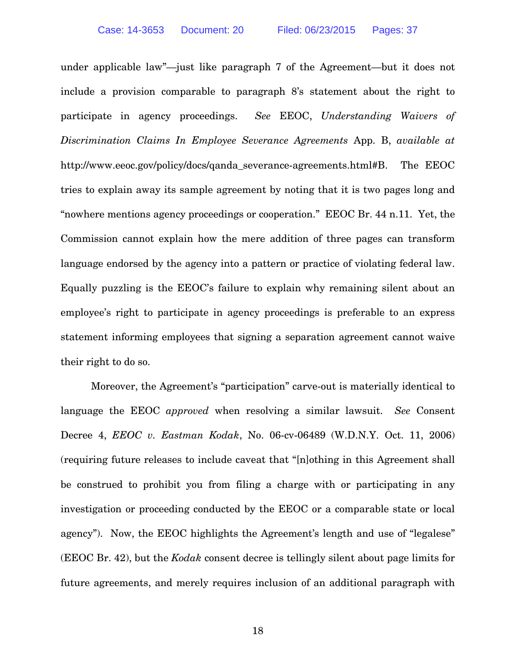under applicable law"—just like paragraph 7 of the Agreement—but it does not include a provision comparable to paragraph 8's statement about the right to participate in agency proceedings. *See* EEOC, *Understanding Waivers of Discrimination Claims In Employee Severance Agreements* App. B, *available at* http://www.eeoc.gov/policy/docs/qanda\_severance-agreements.html#B. The EEOC tries to explain away its sample agreement by noting that it is two pages long and "nowhere mentions agency proceedings or cooperation." EEOC Br. 44 n.11. Yet, the Commission cannot explain how the mere addition of three pages can transform language endorsed by the agency into a pattern or practice of violating federal law. Equally puzzling is the EEOC's failure to explain why remaining silent about an employee's right to participate in agency proceedings is preferable to an express statement informing employees that signing a separation agreement cannot waive their right to do so.

Moreover, the Agreement's "participation" carve-out is materially identical to language the EEOC *approved* when resolving a similar lawsuit. *See* Consent Decree 4, *EEOC v. Eastman Kodak*, No. 06-cv-06489 (W.D.N.Y. Oct. 11, 2006) (requiring future releases to include caveat that "[n]othing in this Agreement shall be construed to prohibit you from filing a charge with or participating in any investigation or proceeding conducted by the EEOC or a comparable state or local agency"). Now, the EEOC highlights the Agreement's length and use of "legalese" (EEOC Br. 42), but the *Kodak* consent decree is tellingly silent about page limits for future agreements, and merely requires inclusion of an additional paragraph with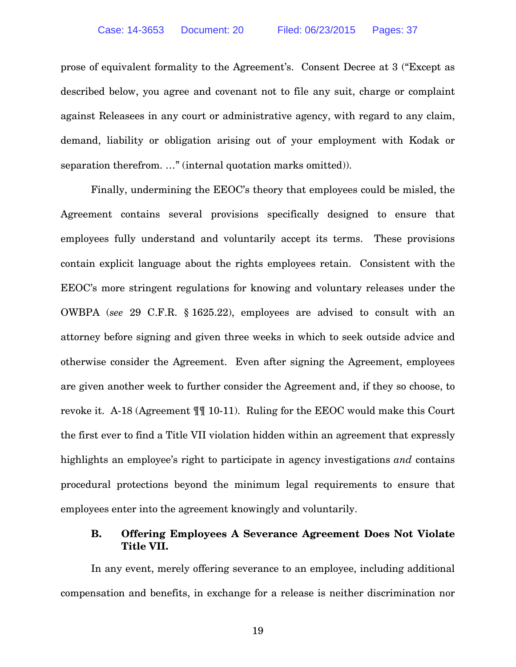prose of equivalent formality to the Agreement's. Consent Decree at 3 ("Except as described below, you agree and covenant not to file any suit, charge or complaint against Releasees in any court or administrative agency, with regard to any claim, demand, liability or obligation arising out of your employment with Kodak or separation therefrom. ..." (internal quotation marks omitted)).

Finally, undermining the EEOC's theory that employees could be misled, the Agreement contains several provisions specifically designed to ensure that employees fully understand and voluntarily accept its terms. These provisions contain explicit language about the rights employees retain. Consistent with the EEOC's more stringent regulations for knowing and voluntary releases under the OWBPA (*see* 29 C.F.R. § 1625.22), employees are advised to consult with an attorney before signing and given three weeks in which to seek outside advice and otherwise consider the Agreement. Even after signing the Agreement, employees are given another week to further consider the Agreement and, if they so choose, to revoke it. A-18 (Agreement ¶¶ 10-11). Ruling for the EEOC would make this Court the first ever to find a Title VII violation hidden within an agreement that expressly highlights an employee's right to participate in agency investigations *and* contains procedural protections beyond the minimum legal requirements to ensure that employees enter into the agreement knowingly and voluntarily.

### **B. Offering Employees A Severance Agreement Does Not Violate Title VII.**

In any event, merely offering severance to an employee, including additional compensation and benefits, in exchange for a release is neither discrimination nor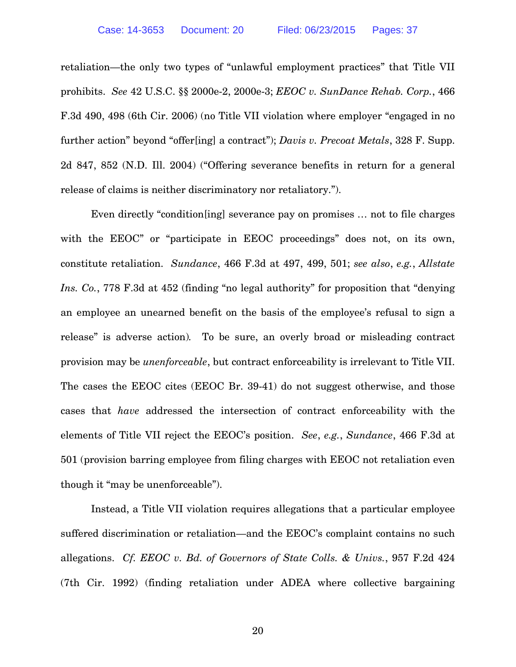retaliation—the only two types of "unlawful employment practices" that Title VII prohibits. *See* 42 U.S.C. §§ 2000e-2, 2000e-3; *EEOC v. SunDance Rehab. Corp.*, 466 F.3d 490, 498 (6th Cir. 2006) (no Title VII violation where employer "engaged in no further action" beyond "offer[ing] a contract"); *Davis v. Precoat Metals*, 328 F. Supp. 2d 847, 852 (N.D. Ill. 2004) ("Offering severance benefits in return for a general release of claims is neither discriminatory nor retaliatory.").

Even directly "condition[ing] severance pay on promises … not to file charges with the EEOC" or "participate in EEOC proceedings" does not, on its own, constitute retaliation. *Sundance*, 466 F.3d at 497, 499, 501; *see also*, *e.g.*, *Allstate Ins. Co.*, 778 F.3d at 452 (finding "no legal authority" for proposition that "denying an employee an unearned benefit on the basis of the employee's refusal to sign a release" is adverse action)*.* To be sure, an overly broad or misleading contract provision may be *unenforceable*, but contract enforceability is irrelevant to Title VII. The cases the EEOC cites (EEOC Br. 39-41) do not suggest otherwise, and those cases that *have* addressed the intersection of contract enforceability with the elements of Title VII reject the EEOC's position. *See*, *e.g.*, *Sundance*, 466 F.3d at 501 (provision barring employee from filing charges with EEOC not retaliation even though it "may be unenforceable").

Instead, a Title VII violation requires allegations that a particular employee suffered discrimination or retaliation—and the EEOC's complaint contains no such allegations. *Cf. EEOC v. Bd. of Governors of State Colls. & Univs.*, 957 F.2d 424 (7th Cir. 1992) (finding retaliation under ADEA where collective bargaining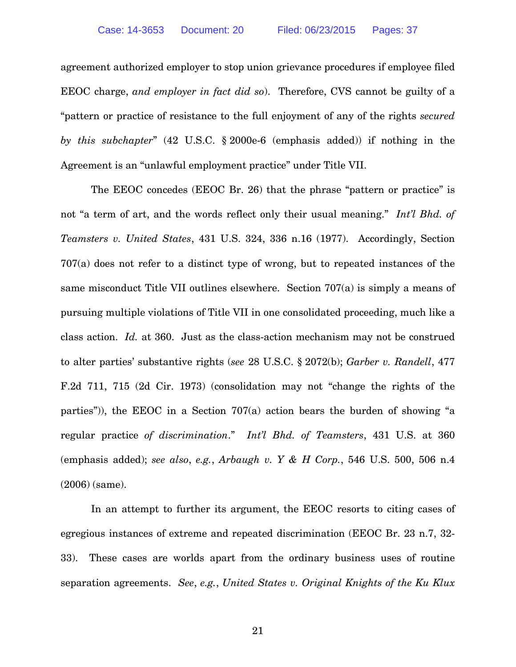agreement authorized employer to stop union grievance procedures if employee filed EEOC charge, *and employer in fact did so*). Therefore, CVS cannot be guilty of a "pattern or practice of resistance to the full enjoyment of any of the rights *secured by this subchapter*" (42 U.S.C. § 2000e-6 (emphasis added)) if nothing in the Agreement is an "unlawful employment practice" under Title VII.

The EEOC concedes (EEOC Br. 26) that the phrase "pattern or practice" is not "a term of art, and the words reflect only their usual meaning." *Int'l Bhd. of Teamsters v. United States*, 431 U.S. 324, 336 n.16 (1977). Accordingly, Section 707(a) does not refer to a distinct type of wrong, but to repeated instances of the same misconduct Title VII outlines elsewhere. Section 707(a) is simply a means of pursuing multiple violations of Title VII in one consolidated proceeding, much like a class action. *Id.* at 360. Just as the class-action mechanism may not be construed to alter parties' substantive rights (*see* 28 U.S.C. § 2072(b); *Garber v. Randell*, 477 F.2d 711, 715 (2d Cir. 1973) (consolidation may not "change the rights of the parties")), the EEOC in a Section 707(a) action bears the burden of showing "a regular practice *of discrimination*." *Int'l Bhd. of Teamsters*, 431 U.S. at 360 (emphasis added); *see also*, *e.g.*, *Arbaugh v. Y & H Corp.*, 546 U.S. 500, 506 n.4 (2006) (same).

In an attempt to further its argument, the EEOC resorts to citing cases of egregious instances of extreme and repeated discrimination (EEOC Br. 23 n.7, 32- 33). These cases are worlds apart from the ordinary business uses of routine separation agreements. *See*, *e.g.*, *United States v. Original Knights of the Ku Klux*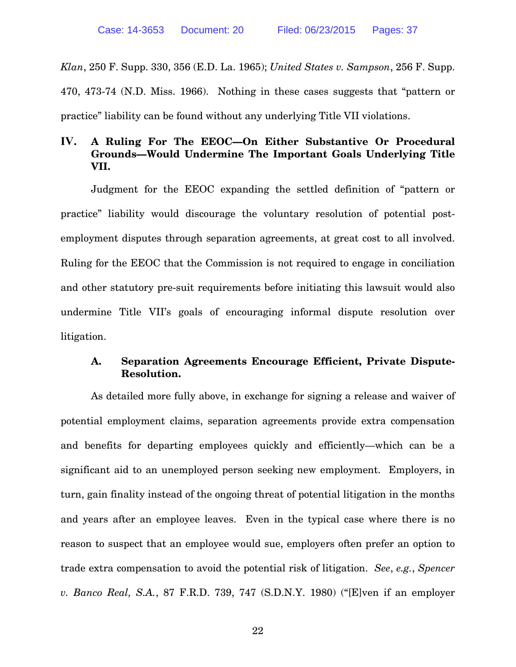*Klan*, 250 F. Supp. 330, 356 (E.D. La. 1965); *United States v. Sampson*, 256 F. Supp. 470, 473-74 (N.D. Miss. 1966). Nothing in these cases suggests that "pattern or practice" liability can be found without any underlying Title VII violations.

### **IV. A Ruling For The EEOC—On Either Substantive Or Procedural Grounds—Would Undermine The Important Goals Underlying Title VII.**

Judgment for the EEOC expanding the settled definition of "pattern or practice" liability would discourage the voluntary resolution of potential postemployment disputes through separation agreements, at great cost to all involved. Ruling for the EEOC that the Commission is not required to engage in conciliation and other statutory pre-suit requirements before initiating this lawsuit would also undermine Title VII's goals of encouraging informal dispute resolution over litigation.

### **A. Separation Agreements Encourage Efficient, Private Dispute-Resolution.**

As detailed more fully above, in exchange for signing a release and waiver of potential employment claims, separation agreements provide extra compensation and benefits for departing employees quickly and efficiently—which can be a significant aid to an unemployed person seeking new employment. Employers, in turn, gain finality instead of the ongoing threat of potential litigation in the months and years after an employee leaves. Even in the typical case where there is no reason to suspect that an employee would sue, employers often prefer an option to trade extra compensation to avoid the potential risk of litigation. *See*, *e.g.*, *Spencer v. Banco Real, S.A.*, 87 F.R.D. 739, 747 (S.D.N.Y. 1980) ("[E]ven if an employer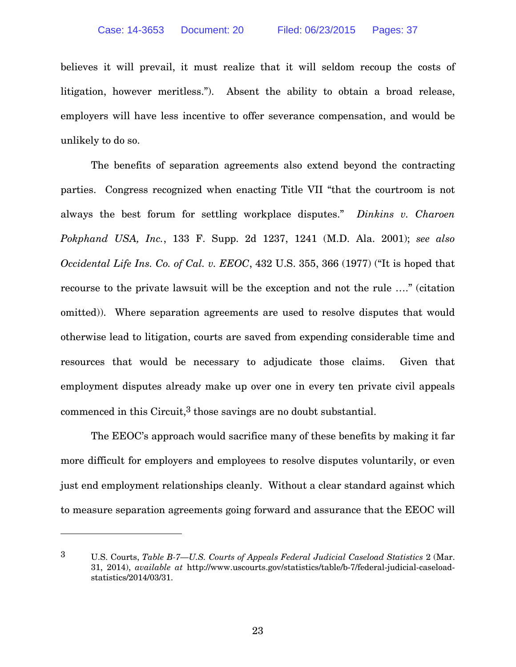believes it will prevail, it must realize that it will seldom recoup the costs of litigation, however meritless."). Absent the ability to obtain a broad release, employers will have less incentive to offer severance compensation, and would be unlikely to do so.

The benefits of separation agreements also extend beyond the contracting parties. Congress recognized when enacting Title VII "that the courtroom is not always the best forum for settling workplace disputes." *Dinkins v. Charoen Pokphand USA, Inc.*, 133 F. Supp. 2d 1237, 1241 (M.D. Ala. 2001); *see also Occidental Life Ins. Co. of Cal. v. EEOC*, 432 U.S. 355, 366 (1977) ("It is hoped that recourse to the private lawsuit will be the exception and not the rule …." (citation omitted)). Where separation agreements are used to resolve disputes that would otherwise lead to litigation, courts are saved from expending considerable time and resources that would be necessary to adjudicate those claims. Given that employment disputes already make up over one in every ten private civil appeals commenced in this Circuit,<sup>3</sup> those savings are no doubt substantial.

The EEOC's approach would sacrifice many of these benefits by making it far more difficult for employers and employees to resolve disputes voluntarily, or even just end employment relationships cleanly. Without a clear standard against which to measure separation agreements going forward and assurance that the EEOC will

 $\overline{a}$ 

<sup>3</sup> U.S. Courts, *Table B-7—U.S. Courts of Appeals Federal Judicial Caseload Statistics* 2 (Mar. 31, 2014), *available at* http://www.uscourts.gov/statistics/table/b-7/federal-judicial-caseloadstatistics/2014/03/31.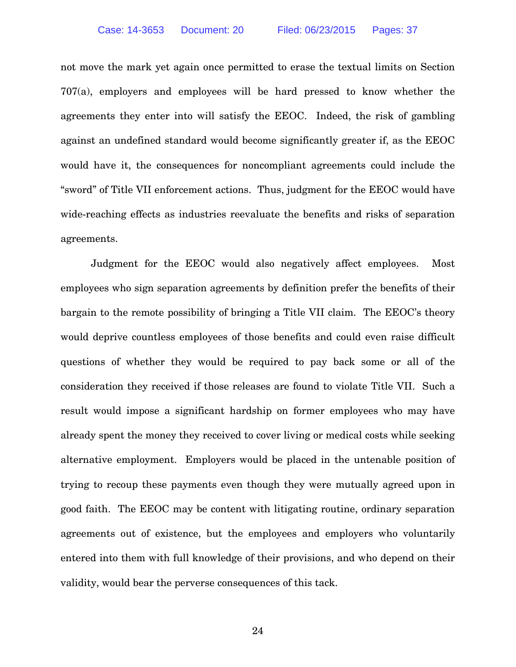not move the mark yet again once permitted to erase the textual limits on Section 707(a), employers and employees will be hard pressed to know whether the agreements they enter into will satisfy the EEOC. Indeed, the risk of gambling against an undefined standard would become significantly greater if, as the EEOC would have it, the consequences for noncompliant agreements could include the "sword" of Title VII enforcement actions. Thus, judgment for the EEOC would have wide-reaching effects as industries reevaluate the benefits and risks of separation agreements.

Judgment for the EEOC would also negatively affect employees. Most employees who sign separation agreements by definition prefer the benefits of their bargain to the remote possibility of bringing a Title VII claim. The EEOC's theory would deprive countless employees of those benefits and could even raise difficult questions of whether they would be required to pay back some or all of the consideration they received if those releases are found to violate Title VII. Such a result would impose a significant hardship on former employees who may have already spent the money they received to cover living or medical costs while seeking alternative employment. Employers would be placed in the untenable position of trying to recoup these payments even though they were mutually agreed upon in good faith. The EEOC may be content with litigating routine, ordinary separation agreements out of existence, but the employees and employers who voluntarily entered into them with full knowledge of their provisions, and who depend on their validity, would bear the perverse consequences of this tack.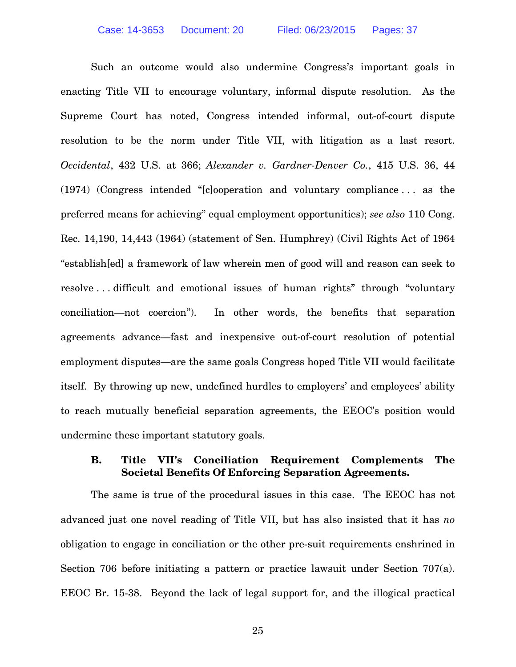Such an outcome would also undermine Congress's important goals in enacting Title VII to encourage voluntary, informal dispute resolution. As the Supreme Court has noted, Congress intended informal, out-of-court dispute resolution to be the norm under Title VII, with litigation as a last resort. *Occidental*, 432 U.S. at 366; *Alexander v. Gardner-Denver Co.*, 415 U.S. 36, 44 (1974) (Congress intended "[c]ooperation and voluntary compliance . . . as the preferred means for achieving" equal employment opportunities); *see also* 110 Cong. Rec. 14,190, 14,443 (1964) (statement of Sen. Humphrey) (Civil Rights Act of 1964 "establish[ed] a framework of law wherein men of good will and reason can seek to resolve . . . difficult and emotional issues of human rights" through "voluntary conciliation—not coercion"). In other words, the benefits that separation agreements advance—fast and inexpensive out-of-court resolution of potential employment disputes—are the same goals Congress hoped Title VII would facilitate itself. By throwing up new, undefined hurdles to employers' and employees' ability to reach mutually beneficial separation agreements, the EEOC's position would undermine these important statutory goals.

### **B. Title VII's Conciliation Requirement Complements The Societal Benefits Of Enforcing Separation Agreements.**

The same is true of the procedural issues in this case. The EEOC has not advanced just one novel reading of Title VII, but has also insisted that it has *no* obligation to engage in conciliation or the other pre-suit requirements enshrined in Section 706 before initiating a pattern or practice lawsuit under Section 707(a). EEOC Br. 15-38. Beyond the lack of legal support for, and the illogical practical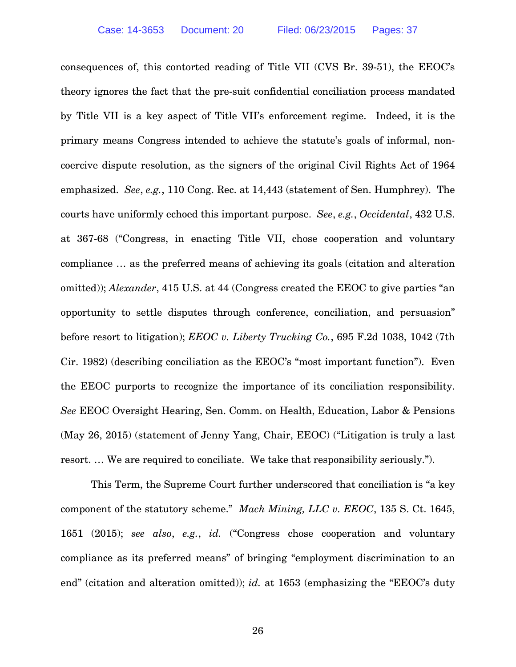consequences of, this contorted reading of Title VII (CVS Br. 39-51), the EEOC's theory ignores the fact that the pre-suit confidential conciliation process mandated by Title VII is a key aspect of Title VII's enforcement regime. Indeed, it is the primary means Congress intended to achieve the statute's goals of informal, noncoercive dispute resolution, as the signers of the original Civil Rights Act of 1964 emphasized. *See*, *e.g.*, 110 Cong. Rec. at 14,443 (statement of Sen. Humphrey). The courts have uniformly echoed this important purpose. *See*, *e.g.*, *Occidental*, 432 U.S. at 367-68 ("Congress, in enacting Title VII, chose cooperation and voluntary compliance … as the preferred means of achieving its goals (citation and alteration omitted)); *Alexander*, 415 U.S. at 44 (Congress created the EEOC to give parties "an opportunity to settle disputes through conference, conciliation, and persuasion" before resort to litigation); *EEOC v. Liberty Trucking Co.*, 695 F.2d 1038, 1042 (7th Cir. 1982) (describing conciliation as the EEOC's "most important function"). Even the EEOC purports to recognize the importance of its conciliation responsibility. *See* EEOC Oversight Hearing, Sen. Comm. on Health, Education, Labor & Pensions (May 26, 2015) (statement of Jenny Yang, Chair, EEOC) ("Litigation is truly a last resort. … We are required to conciliate. We take that responsibility seriously.").

This Term, the Supreme Court further underscored that conciliation is "a key component of the statutory scheme." *Mach Mining, LLC v. EEOC*, 135 S. Ct. 1645, 1651 (2015); *see also*, *e.g.*, *id.* ("Congress chose cooperation and voluntary compliance as its preferred means" of bringing "employment discrimination to an end" (citation and alteration omitted)); *id.* at 1653 (emphasizing the "EEOC's duty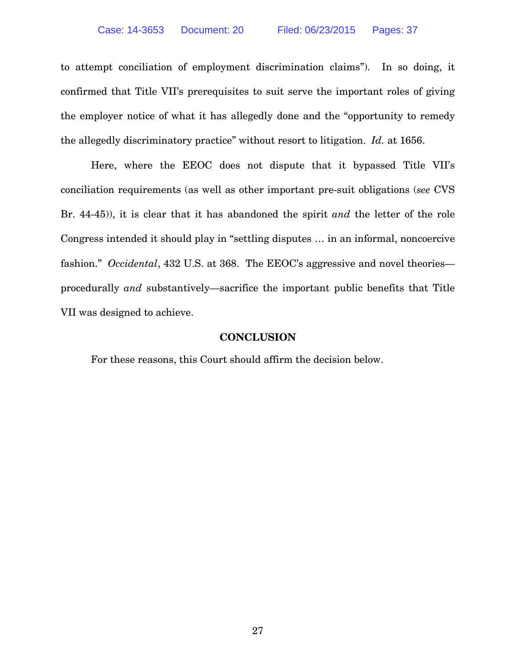to attempt conciliation of employment discrimination claims"). In so doing, it confirmed that Title VII's prerequisites to suit serve the important roles of giving the employer notice of what it has allegedly done and the "opportunity to remedy the allegedly discriminatory practice" without resort to litigation. *Id.* at 1656.

Here, where the EEOC does not dispute that it bypassed Title VII's conciliation requirements (as well as other important pre-suit obligations (*see* CVS Br. 44-45)), it is clear that it has abandoned the spirit *and* the letter of the role Congress intended it should play in "settling disputes … in an informal, noncoercive fashion." *Occidental*, 432 U.S. at 368. The EEOC's aggressive and novel theories procedurally *and* substantively—sacrifice the important public benefits that Title VII was designed to achieve.

#### **CONCLUSION**

For these reasons, this Court should affirm the decision below.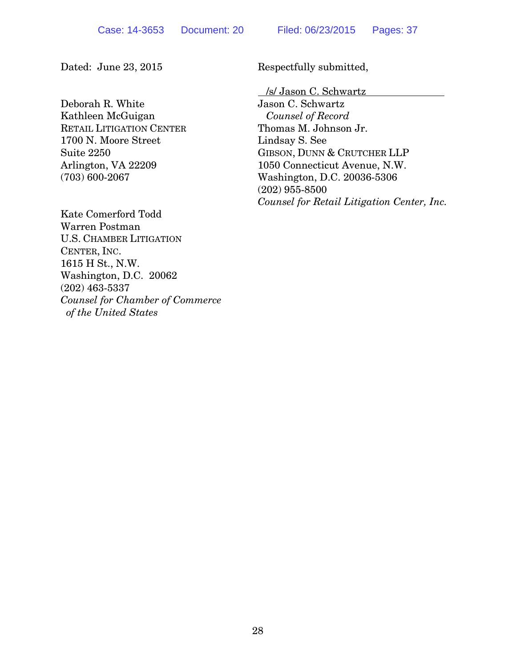Deborah R. White Kathleen McGuigan RETAIL LITIGATION CENTER 1700 N. Moore Street Suite 2250 Arlington, VA 22209 (703) 600-2067

Kate Comerford Todd Warren Postman U.S. CHAMBER LITIGATION CENTER, INC. 1615 H St., N.W. Washington, D.C. 20062 (202) 463-5337 *Counsel for Chamber of Commerce of the United States* 

Dated: June 23, 2015 Respectfully submitted,

/s/ Jason C. Schwartz

Jason C. Schwartz *Counsel of Record*  Thomas M. Johnson Jr. Lindsay S. See GIBSON, DUNN & CRUTCHER LLP 1050 Connecticut Avenue, N.W. Washington, D.C. 20036-5306 (202) 955-8500 *Counsel for Retail Litigation Center, Inc.*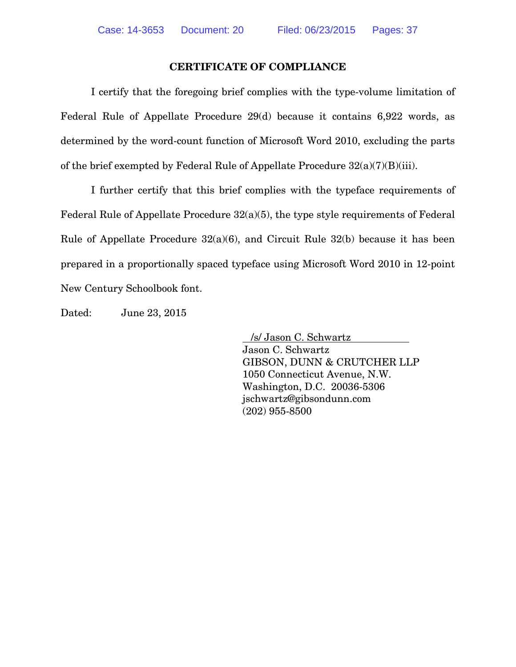#### **CERTIFICATE OF COMPLIANCE**

I certify that the foregoing brief complies with the type-volume limitation of Federal Rule of Appellate Procedure 29(d) because it contains 6,922 words, as determined by the word-count function of Microsoft Word 2010, excluding the parts of the brief exempted by Federal Rule of Appellate Procedure 32(a)(7)(B)(iii).

I further certify that this brief complies with the typeface requirements of Federal Rule of Appellate Procedure 32(a)(5), the type style requirements of Federal Rule of Appellate Procedure  $32(a)(6)$ , and Circuit Rule  $32(b)$  because it has been prepared in a proportionally spaced typeface using Microsoft Word 2010 in 12-point New Century Schoolbook font.

Dated: June 23, 2015

 /s/ Jason C. Schwartz Jason C. Schwartz GIBSON, DUNN & CRUTCHER LLP 1050 Connecticut Avenue, N.W. Washington, D.C. 20036-5306 jschwartz@gibsondunn.com (202) 955-8500